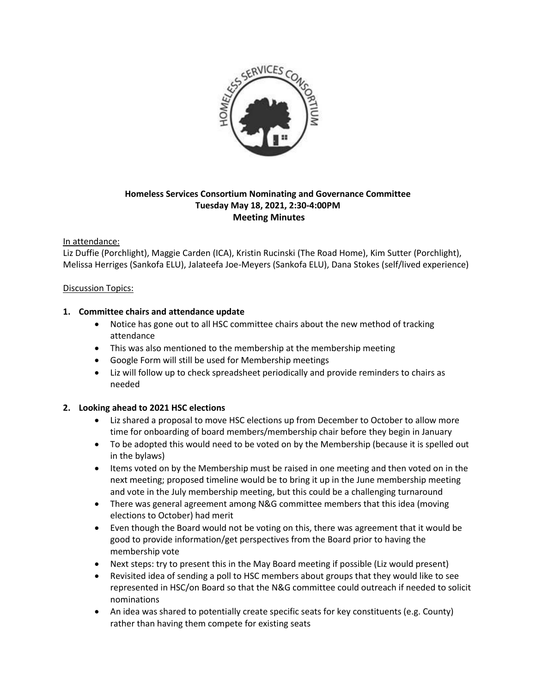

# **Homeless Services Consortium Nominating and Governance Committee Tuesday May 18, 2021, 2:30-4:00PM Meeting Minutes**

### In attendance:

Liz Duffie (Porchlight), Maggie Carden (ICA), Kristin Rucinski (The Road Home), Kim Sutter (Porchlight), Melissa Herriges (Sankofa ELU), Jalateefa Joe-Meyers (Sankofa ELU), Dana Stokes (self/lived experience)

### Discussion Topics:

### **1. Committee chairs and attendance update**

- Notice has gone out to all HSC committee chairs about the new method of tracking attendance
- This was also mentioned to the membership at the membership meeting
- Google Form will still be used for Membership meetings
- Liz will follow up to check spreadsheet periodically and provide reminders to chairs as needed

# **2. Looking ahead to 2021 HSC elections**

- Liz shared a proposal to move HSC elections up from December to October to allow more time for onboarding of board members/membership chair before they begin in January
- To be adopted this would need to be voted on by the Membership (because it is spelled out in the bylaws)
- Items voted on by the Membership must be raised in one meeting and then voted on in the next meeting; proposed timeline would be to bring it up in the June membership meeting and vote in the July membership meeting, but this could be a challenging turnaround
- There was general agreement among N&G committee members that this idea (moving elections to October) had merit
- Even though the Board would not be voting on this, there was agreement that it would be good to provide information/get perspectives from the Board prior to having the membership vote
- Next steps: try to present this in the May Board meeting if possible (Liz would present)
- Revisited idea of sending a poll to HSC members about groups that they would like to see represented in HSC/on Board so that the N&G committee could outreach if needed to solicit nominations
- An idea was shared to potentially create specific seats for key constituents (e.g. County) rather than having them compete for existing seats